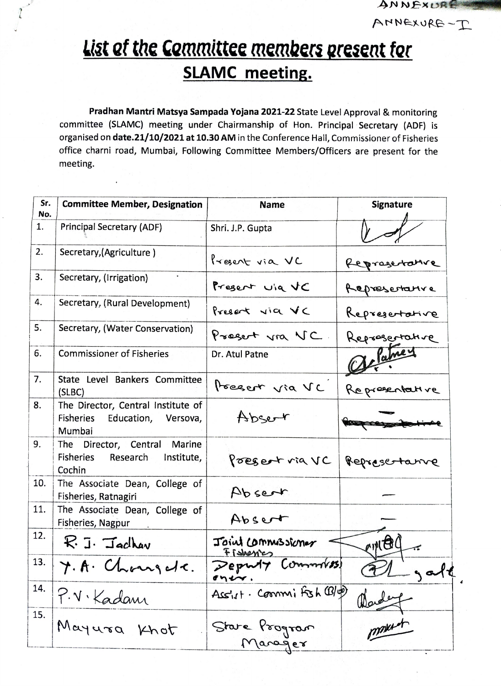## List of the Committee members present for **SLAMC meeting.**

ANNEXURE

ANNEXURE-I

Pradhan Mantri Matsya Sampada Yojana 2021-22 State Level Approval & monitoring committee (SLAMC) meeting under Chairmanship of Hon. Principal Secretary (ADF) is organised on date.21/10/2021 at 10.30 AM in the Conference Hall, Commissioner of Fisheries office charni road, Mumbai, Following Committee Members/Officers are present for the meeting.

| Sr.<br>No. | <b>Committee Member, Designation</b>                                                 | <b>Name</b>                     | <b>Signature</b> |
|------------|--------------------------------------------------------------------------------------|---------------------------------|------------------|
| 1.         | <b>Principal Secretary (ADF)</b>                                                     | Shri. J.P. Gupta                |                  |
| 2.         | Secretary, (Agriculture)                                                             | Present via VC                  | Represerative    |
| 3.         | Secretary, (Irrigation)                                                              | Present via VC                  | Represertative   |
| 4.         | Secretary, (Rural Development)                                                       | Present via VC                  | Represertative   |
| 5.         | Secretary, (Water Conservation)                                                      | Present via VC.                 | Reprosertative   |
| 6.         | <b>Commissioner of Fisheries</b>                                                     | Dr. Atul Patne                  |                  |
| 7.         | State Level Bankers Committee<br>(SLBC)                                              | Preser via VC                   | Representative   |
| 8.         | The Director, Central Institute of<br>Fisheries<br>Education,<br>Versova,<br>Mumbai  | Abser                           |                  |
| 9.         | The Director, Central Marine<br><b>Fisheries</b><br>Institute,<br>Research<br>Cochin | Present via VC                  | Represertance    |
| 10.        | The Associate Dean, College of<br>Fisheries, Ratnagiri                               | Absert                          |                  |
| 11.        | The Associate Dean, College of<br>Fisheries, Nagpur                                  | Absert                          |                  |
| 12.        | $R_i$ J. Jachav                                                                      | Joint Commissioner<br>Fishesics | CINEIL           |
| 13.        | Y. A. Changela.                                                                      | $P$ epwy<br>$\sigma$ ner.       |                  |
| 14.        |                                                                                      | Ass'ut. Commi Fish (B/p)        | alex             |
| 15.        | P.V. Kadam<br>Mayura Khot                                                            | Stare Program<br>Manager        | monterer         |